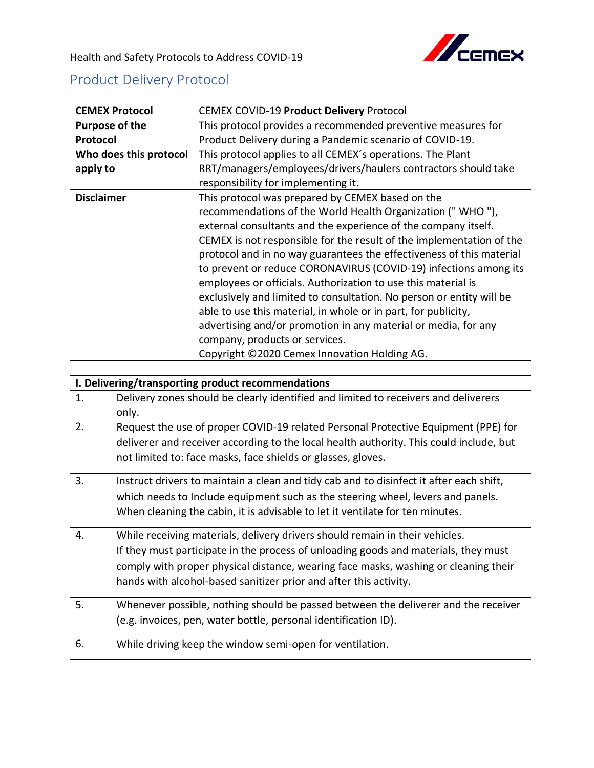

Health and Safety Protocols to Address COVID-19

## Product Delivery Protocol

| <b>CEMEX Protocol</b>  | <b>CEMEX COVID-19 Product Delivery Protocol</b>                      |
|------------------------|----------------------------------------------------------------------|
| Purpose of the         | This protocol provides a recommended preventive measures for         |
| Protocol               | Product Delivery during a Pandemic scenario of COVID-19.             |
| Who does this protocol | This protocol applies to all CEMEX's operations. The Plant           |
| apply to               | RRT/managers/employees/drivers/haulers contractors should take       |
|                        | responsibility for implementing it.                                  |
| <b>Disclaimer</b>      | This protocol was prepared by CEMEX based on the                     |
|                        | recommendations of the World Health Organization ("WHO"),            |
|                        | external consultants and the experience of the company itself.       |
|                        | CEMEX is not responsible for the result of the implementation of the |
|                        | protocol and in no way guarantees the effectiveness of this material |
|                        | to prevent or reduce CORONAVIRUS (COVID-19) infections among its     |
|                        | employees or officials. Authorization to use this material is        |
|                        | exclusively and limited to consultation. No person or entity will be |
|                        | able to use this material, in whole or in part, for publicity,       |
|                        | advertising and/or promotion in any material or media, for any       |
|                        | company, products or services.                                       |
|                        | Copyright ©2020 Cemex Innovation Holding AG.                         |

| I. Delivering/transporting product recommendations |                                                                                         |
|----------------------------------------------------|-----------------------------------------------------------------------------------------|
| 1.                                                 | Delivery zones should be clearly identified and limited to receivers and deliverers     |
|                                                    | only.                                                                                   |
| 2.                                                 | Request the use of proper COVID-19 related Personal Protective Equipment (PPE) for      |
|                                                    | deliverer and receiver according to the local health authority. This could include, but |
|                                                    | not limited to: face masks, face shields or glasses, gloves.                            |
| 3.                                                 | Instruct drivers to maintain a clean and tidy cab and to disinfect it after each shift, |
|                                                    | which needs to Include equipment such as the steering wheel, levers and panels.         |
|                                                    | When cleaning the cabin, it is advisable to let it ventilate for ten minutes.           |
| 4.                                                 | While receiving materials, delivery drivers should remain in their vehicles.            |
|                                                    | If they must participate in the process of unloading goods and materials, they must     |
|                                                    | comply with proper physical distance, wearing face masks, washing or cleaning their     |
|                                                    | hands with alcohol-based sanitizer prior and after this activity.                       |
| 5.                                                 | Whenever possible, nothing should be passed between the deliverer and the receiver      |
|                                                    | (e.g. invoices, pen, water bottle, personal identification ID).                         |
| 6.                                                 | While driving keep the window semi-open for ventilation.                                |